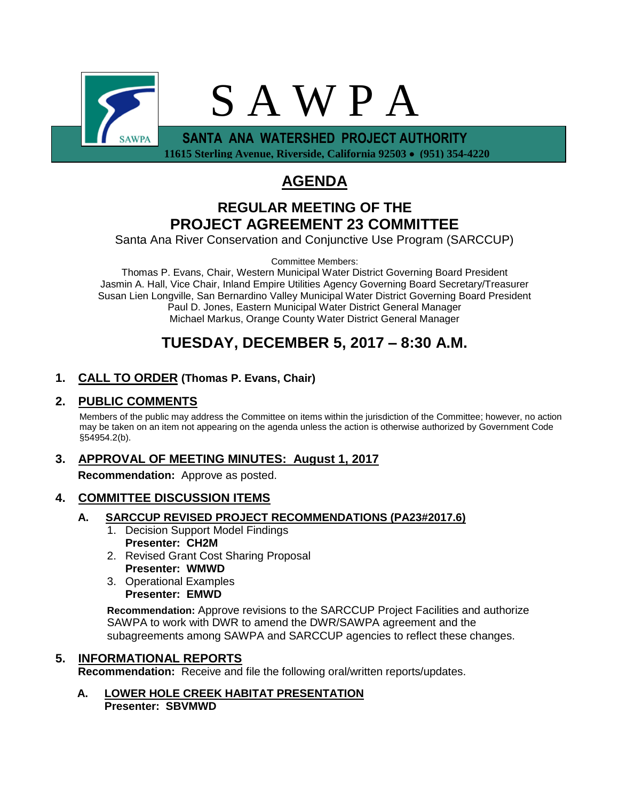

 **11615 Sterling Avenue, Riverside, California 92503 (951) 354-4220**

# **AGENDA**

## **REGULAR MEETING OF THE PROJECT AGREEMENT 23 COMMITTEE**

Santa Ana River Conservation and Conjunctive Use Program (SARCCUP)

Committee Members:

Thomas P. Evans, Chair, Western Municipal Water District Governing Board President Jasmin A. Hall, Vice Chair, Inland Empire Utilities Agency Governing Board Secretary/Treasurer Susan Lien Longville, San Bernardino Valley Municipal Water District Governing Board President Paul D. Jones, Eastern Municipal Water District General Manager Michael Markus, Orange County Water District General Manager

## **TUESDAY, DECEMBER 5, 2017 – 8:30 A.M.**

### **1. CALL TO ORDER (Thomas P. Evans, Chair)**

#### **2. PUBLIC COMMENTS**

Members of the public may address the Committee on items within the jurisdiction of the Committee; however, no action may be taken on an item not appearing on the agenda unless the action is otherwise authorized by Government Code §54954.2(b).

## **3. APPROVAL OF MEETING MINUTES: August 1, 2017**

**Recommendation:** Approve as posted.

### **4. COMMITTEE DISCUSSION ITEMS**

- **A. SARCCUP REVISED PROJECT RECOMMENDATIONS (PA23#2017.6)**
	- 1. Decision Support Model Findings **Presenter: CH2M**
	- 2. Revised Grant Cost Sharing Proposal **Presenter: WMWD**
	- 3. Operational Examples **Presenter: EMWD**

**Recommendation:** Approve revisions to the SARCCUP Project Facilities and authorize SAWPA to work with DWR to amend the DWR/SAWPA agreement and the subagreements among SAWPA and SARCCUP agencies to reflect these changes.

### **5. INFORMATIONAL REPORTS**

**Recommendation:** Receive and file the following oral/written reports/updates.

**A. LOWER HOLE CREEK HABITAT PRESENTATION Presenter: SBVMWD**